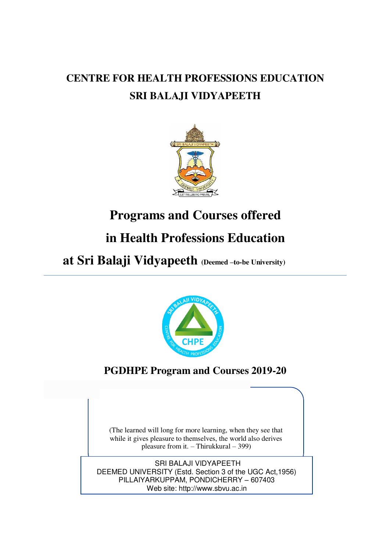# **CENTRE FOR HEALTH PROFESSIONS EDUCATION SRI BALAJI VIDYAPEETH**



# **Programs and Courses offered**

# **in Health Professions Education**

 **at Sri Balaji Vidyapeeth (Deemed –to-be University)** 



**PGDHPE Program and Courses 2019-20**

(The learned will long for more learning, when they see that while it gives pleasure to themselves, the world also derives pleasure from it. – Thirukkural – 399)

SRI BALAJI VIDYAPEETH DEEMED UNIVERSITY (Estd. Section 3 of the UGC Act,1956) PILLAIYARKUPPAM, PONDICHERRY – 607403 Web site[: http://www.sbvu.ac.in](http://www.sbvu.ac.in/)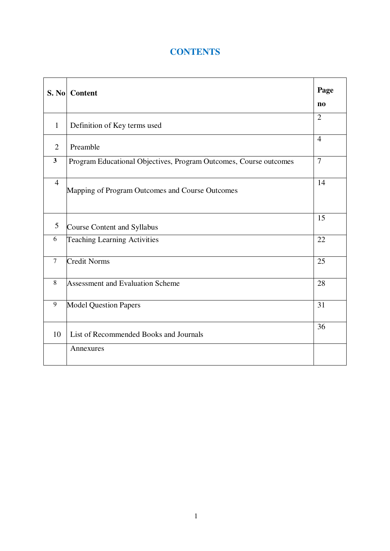# **CONTENTS**

| <b>S. No</b>   | <b>Content</b>                                                    | Page                   |
|----------------|-------------------------------------------------------------------|------------------------|
|                |                                                                   | $\mathbf{n}\mathbf{o}$ |
| $\mathbf{1}$   | Definition of Key terms used                                      | $\overline{2}$         |
| $\overline{2}$ | Preamble                                                          | $\overline{4}$         |
| $\mathbf{3}$   | Program Educational Objectives, Program Outcomes, Course outcomes | $\overline{7}$         |
| $\overline{4}$ | Mapping of Program Outcomes and Course Outcomes                   | 14                     |
| 5              | <b>Course Content and Syllabus</b>                                | 15                     |
| 6              | Teaching Learning Activities                                      | 22                     |
| $\tau$         | <b>Credit Norms</b>                                               | 25                     |
| 8              | <b>Assessment and Evaluation Scheme</b>                           | 28                     |
| 9              | <b>Model Question Papers</b>                                      | 31                     |
| 10             | List of Recommended Books and Journals                            | 36                     |
|                | Annexures                                                         |                        |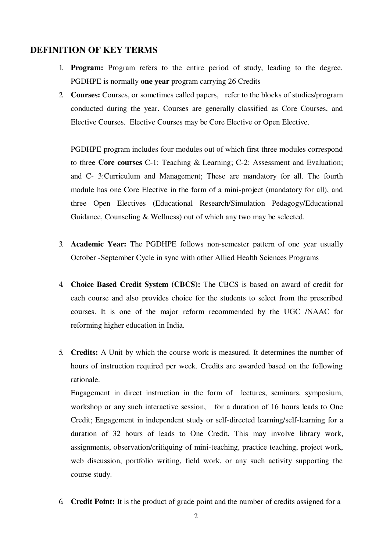### **DEFINITION OF KEY TERMS**

- 1. **Program:** Program refers to the entire period of study, leading to the degree. PGDHPE is normally **one year** program carrying 26 Credits
- 2. **Courses:** Courses, or sometimes called papers, refer to the blocks of studies/program conducted during the year. Courses are generally classified as Core Courses, and Elective Courses. Elective Courses may be Core Elective or Open Elective.

PGDHPE program includes four modules out of which first three modules correspond to three **Core courses** C-1: Teaching & Learning; C-2: Assessment and Evaluation; and C- 3:Curriculum and Management; These are mandatory for all. The fourth module has one Core Elective in the form of a mini-project (mandatory for all), and three Open Electives (Educational Research/Simulation Pedagogy/Educational Guidance, Counseling & Wellness) out of which any two may be selected.

- 3. **Academic Year:** The PGDHPE follows non-semester pattern of one year usually October -September Cycle in sync with other Allied Health Sciences Programs
- 4. **Choice Based Credit System (CBCS):** The CBCS is based on award of credit for each course and also provides choice for the students to select from the prescribed courses. It is one of the major reform recommended by the UGC /NAAC for reforming higher education in India.
- 5. **Credits:** A Unit by which the course work is measured. It determines the number of hours of instruction required per week. Credits are awarded based on the following rationale.

Engagement in direct instruction in the form of lectures, seminars, symposium, workshop or any such interactive session, for a duration of 16 hours leads to One Credit; Engagement in independent study or self-directed learning/self-learning for a duration of 32 hours of leads to One Credit. This may involve library work, assignments, observation/critiquing of mini-teaching, practice teaching, project work, web discussion, portfolio writing, field work, or any such activity supporting the course study.

6. **Credit Point:** It is the product of grade point and the number of credits assigned for a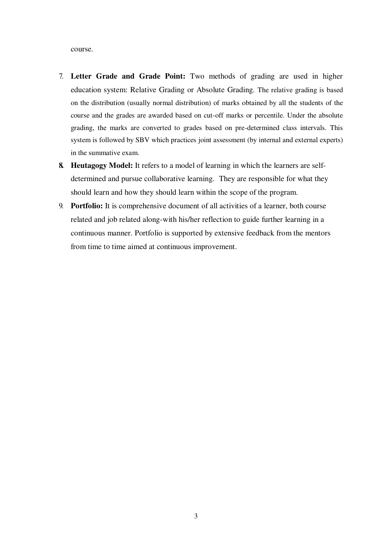course.

- 7. **Letter Grade and Grade Point:** Two methods of grading are used in higher education system: Relative Grading or Absolute Grading. The relative grading is based on the distribution (usually normal distribution) of marks obtained by all the students of the course and the grades are awarded based on cut-off marks or percentile. Under the absolute grading, the marks are converted to grades based on pre-determined class intervals. This system is followed by SBV which practices joint assessment (by internal and external experts) in the summative exam.
- **8. Heutagogy Model:** It refers to a model of learning in which the learners are selfdetermined and pursue collaborative learning. They are responsible for what they should learn and how they should learn within the scope of the program.
- 9. **Portfolio:** It is comprehensive document of all activities of a learner, both course related and job related along-with his/her reflection to guide further learning in a continuous manner. Portfolio is supported by extensive feedback from the mentors from time to time aimed at continuous improvement.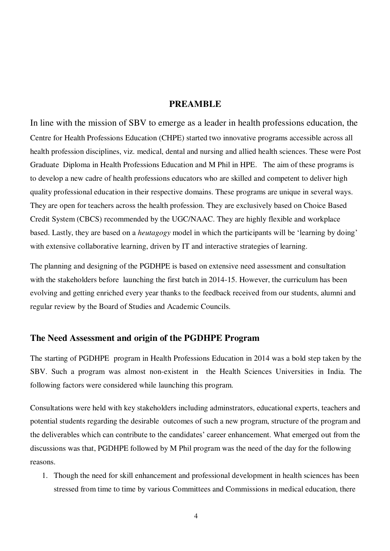### **PREAMBLE**

In line with the mission of SBV to emerge as a leader in health professions education, the Centre for Health Professions Education (CHPE) started two innovative programs accessible across all health profession disciplines, viz. medical, dental and nursing and allied health sciences. These were Post Graduate Diploma in Health Professions Education and M Phil in HPE. The aim of these programs is to develop a new cadre of health professions educators who are skilled and competent to deliver high quality professional education in their respective domains. These programs are unique in several ways. They are open for teachers across the health profession. They are exclusively based on Choice Based Credit System (CBCS) recommended by the UGC/NAAC. They are highly flexible and workplace based. Lastly, they are based on a *heutagogy* model in which the participants will be 'learning by doing' with extensive collaborative learning, driven by IT and interactive strategies of learning.

The planning and designing of the PGDHPE is based on extensive need assessment and consultation with the stakeholders before launching the first batch in 2014-15. However, the curriculum has been evolving and getting enriched every year thanks to the feedback received from our students, alumni and regular review by the Board of Studies and Academic Councils.

### **The Need Assessment and origin of the PGDHPE Program**

The starting of PGDHPE program in Health Professions Education in 2014 was a bold step taken by the SBV. Such a program was almost non-existent in the Health Sciences Universities in India. The following factors were considered while launching this program.

Consultations were held with key stakeholders including adminstrators, educational experts, teachers and potential students regarding the desirable outcomes of such a new program, structure of the program and the deliverables which can contribute to the candidates' career enhancement. What emerged out from the discussions was that, PGDHPE followed by M Phil program was the need of the day for the following reasons.

1. Though the need for skill enhancement and professional development in health sciences has been stressed from time to time by various Committees and Commissions in medical education, there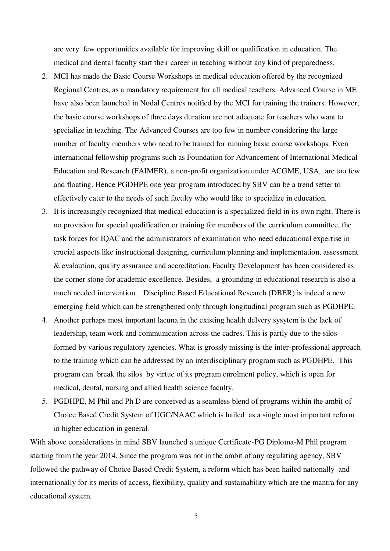are very few opportunities available for improving skill or qualification in education. The medical and dental faculty start their career in teaching without any kind of preparedness.

- 2. MCI has made the Basic Course Workshops in medical education offered by the recognized Regional Centres, as a mandatory requirement for all medical teachers. Advanced Course in ME have also been launched in Nodal Centres notified by the MCI for training the trainers. However, the basic course workshops of three days duration are not adequate for teachers who want to specialize in teaching. The Advanced Courses are too few in number considering the large number of faculty members who need to be trained for running basic course workshops. Even international fellowship programs such as Foundation for Advancement of International Medical Education and Research (FAIMER), a non-profit organization under ACGME, USA, are too few and floating. Hence PGDHPE one year program introduced by SBV can be a trend setter to effectively cater to the needs of such faculty who would like to specialize in education.
- 3. It is increasingly recognized that medical education is a specialized field in its own right. There is no provision for special qualification or training for members of the curriculum committee, the task forces for IQAC and the administrators of examination who need educational expertise in crucial aspects like instructional designing, curriculum planning and implementation, assessment & evalaution, quality assurance and accreditation. Faculty Development has been considered as the corner stone for academic excellence. Besides, a grounding in educational research is also a much needed intervention. Discipline Based Educational Research (DBER) is indeed a new emerging field which can be strengthened only through longitudinal program such as PGDHPE.
- 4. Another perhaps most important lacuna in the existing health delvery sysytem is the lack of leadership, team work and communication across the cadres. This is partly due to the silos formed by various regulatory agencies. What is grossly missing is the inter-professional approach to the training which can be addressed by an interdisciplinary program such as PGDHPE. This program can break the silos by virtue of its program enrolment policy, which is open for medical, dental, nursing and allied health science faculty.
- 5. PGDHPE, M Phil and Ph D are conceived as a seamless blend of programs within the ambit of Choice Based Credit System of UGC/NAAC which is hailed as a single most important reform in higher education in general.

With above considerations in mind SBV launched a unique Certificate-PG Diploma-M Phil program starting from the year 2014. Since the program was not in the ambit of any regulating agency, SBV followed the pathway of Choice Based Credit System, a reform which has been hailed nationally and internationally for its merits of access, flexibility, quality and sustainability which are the mantra for any educational system.

5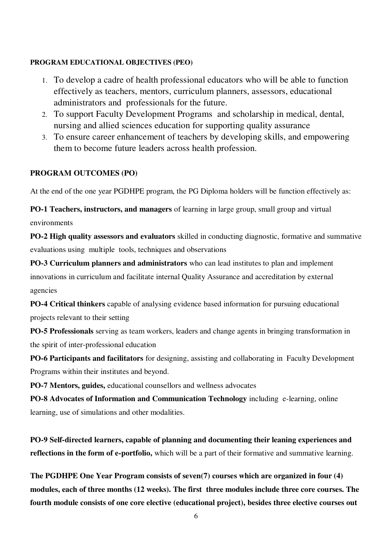### **PROGRAM EDUCATIONAL OBJECTIVES (PEO)**

- 1. To develop a cadre of health professional educators who will be able to function effectively as teachers, mentors, curriculum planners, assessors, educational administrators and professionals for the future.
- 2. To support Faculty Development Programs and scholarship in medical, dental, nursing and allied sciences education for supporting quality assurance
- 3. To ensure career enhancement of teachers by developing skills, and empowering them to become future leaders across health profession.

### **PROGRAM OUTCOMES (PO)**

At the end of the one year PGDHPE program, the PG Diploma holders will be function effectively as:

**PO-1 Teachers, instructors, and managers** of learning in large group, small group and virtual environments

**PO-2 High quality assessors and evaluators** skilled in conducting diagnostic, formative and summative evaluations using multiple tools, techniques and observations

**PO-3 Curriculum planners and administrators** who can lead institutes to plan and implement innovations in curriculum and facilitate internal Quality Assurance and accreditation by external agencies

**PO-4 Critical thinkers** capable of analysing evidence based information for pursuing educational projects relevant to their setting

**PO-5 Professionals** serving as team workers, leaders and change agents in bringing transformation in the spirit of inter-professional education

**PO-6 Participants and facilitators** for designing, assisting and collaborating in Faculty Development Programs within their institutes and beyond.

**PO-7 Mentors, guides,** educational counsellors and wellness advocates

**PO-8 Advocates of Information and Communication Technology** including e-learning, online learning, use of simulations and other modalities.

**PO-9 Self-directed learners, capable of planning and documenting their leaning experiences and reflections in the form of e-portfolio,** which will be a part of their formative and summative learning.

**The PGDHPE One Year Program consists of seven(7) courses which are organized in four (4) modules, each of three months (12 weeks). The first three modules include three core courses. The fourth module consists of one core elective (educational project), besides three elective courses out**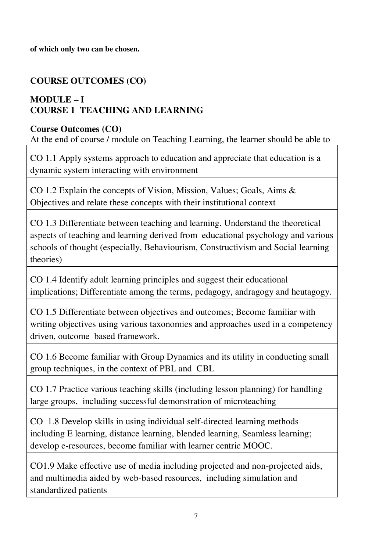**of which only two can be chosen.** 

# **COURSE OUTCOMES (CO)**

# **MODULE**  $-$ **I COURSE 1 TEACHING AND LEARNING**

# **Course Outcomes (CO)**

At the end of course / module on Teaching Learning, the learner should be able to

CO 1.1 Apply systems approach to education and appreciate that education is a dynamic system interacting with environment

CO 1.2 Explain the concepts of Vision, Mission, Values; Goals, Aims & Objectives and relate these concepts with their institutional context

CO 1.3 Differentiate between teaching and learning. Understand the theoretical aspects of teaching and learning derived from educational psychology and various schools of thought (especially, Behaviourism, Constructivism and Social learning theories)

CO 1.4 Identify adult learning principles and suggest their educational implications; Differentiate among the terms, pedagogy, andragogy and heutagogy.

CO 1.5 Differentiate between objectives and outcomes; Become familiar with writing objectives using various taxonomies and approaches used in a competency driven, outcome based framework.

CO 1.6 Become familiar with Group Dynamics and its utility in conducting small group techniques, in the context of PBL and CBL

CO 1.7 Practice various teaching skills (including lesson planning) for handling large groups, including successful demonstration of microteaching

CO 1.8 Develop skills in using individual self-directed learning methods including E learning, distance learning, blended learning, Seamless learning; develop e-resources, become familiar with learner centric MOOC.

CO1.9 Make effective use of media including projected and non-projected aids, and multimedia aided by web-based resources, including simulation and standardized patients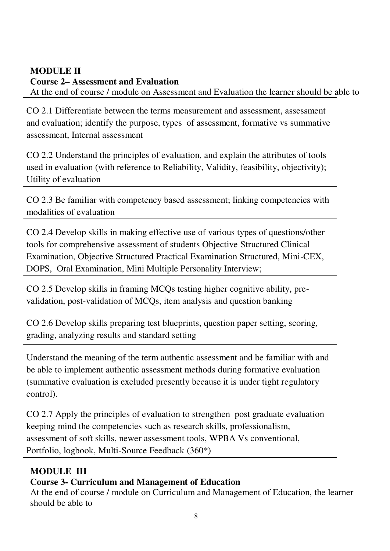# **MODULE II**

# **Course 2– Assessment and Evaluation**

At the end of course / module on Assessment and Evaluation the learner should be able to

CO 2.1 Differentiate between the terms measurement and assessment, assessment and evaluation; identify the purpose, types of assessment, formative vs summative assessment, Internal assessment

CO 2.2 Understand the principles of evaluation, and explain the attributes of tools used in evaluation (with reference to Reliability, Validity, feasibility, objectivity); Utility of evaluation

CO 2.3 Be familiar with competency based assessment; linking competencies with modalities of evaluation

CO 2.4 Develop skills in making effective use of various types of questions/other tools for comprehensive assessment of students Objective Structured Clinical Examination, Objective Structured Practical Examination Structured, Mini-CEX, DOPS, Oral Examination, Mini Multiple Personality Interview;

CO 2.5 Develop skills in framing MCQs testing higher cognitive ability, prevalidation, post-validation of MCQs, item analysis and question banking

CO 2.6 Develop skills preparing test blueprints, question paper setting, scoring, grading, analyzing results and standard setting

Understand the meaning of the term authentic assessment and be familiar with and be able to implement authentic assessment methods during formative evaluation (summative evaluation is excluded presently because it is under tight regulatory control).

CO 2.7 Apply the principles of evaluation to strengthen post graduate evaluation keeping mind the competencies such as research skills, professionalism, assessment of soft skills, newer assessment tools, WPBA Vs conventional, Portfolio, logbook, Multi-Source Feedback (360\*)

# **MODULE III**

# **Course 3- Curriculum and Management of Education**

At the end of course / module on Curriculum and Management of Education, the learner should be able to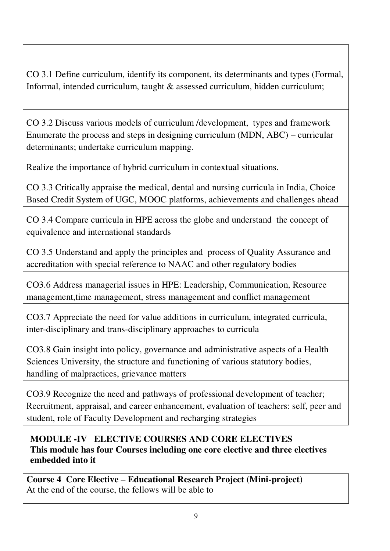CO 3.1 Define curriculum, identify its component, its determinants and types (Formal, Informal, intended curriculum, taught & assessed curriculum, hidden curriculum;

CO 3.2 Discuss various models of curriculum /development, types and framework Enumerate the process and steps in designing curriculum (MDN, ABC) – curricular determinants; undertake curriculum mapping.

Realize the importance of hybrid curriculum in contextual situations.

CO 3.3 Critically appraise the medical, dental and nursing curricula in India, Choice Based Credit System of UGC, MOOC platforms, achievements and challenges ahead

CO 3.4 Compare curricula in HPE across the globe and understand the concept of equivalence and international standards

CO 3.5 Understand and apply the principles and process of Quality Assurance and accreditation with special reference to NAAC and other regulatory bodies

CO3.6 Address managerial issues in HPE: Leadership, Communication, Resource management, time management, stress management and conflict management

CO3.7 Appreciate the need for value additions in curriculum, integrated curricula, inter-disciplinary and trans-disciplinary approaches to curricula

CO3.8 Gain insight into policy, governance and administrative aspects of a Health Sciences University, the structure and functioning of various statutory bodies, handling of malpractices, grievance matters

CO3.9 Recognize the need and pathways of professional development of teacher; Recruitment, appraisal, and career enhancement, evaluation of teachers: self, peer and student, role of Faculty Development and recharging strategies

# **MODULE -IV ELECTIVE COURSES AND CORE ELECTIVES This module has four Courses including one core elective and three electives embedded into it**

**Course 4 Core Elective – Educational Research Project (Mini-project)**  At the end of the course, the fellows will be able to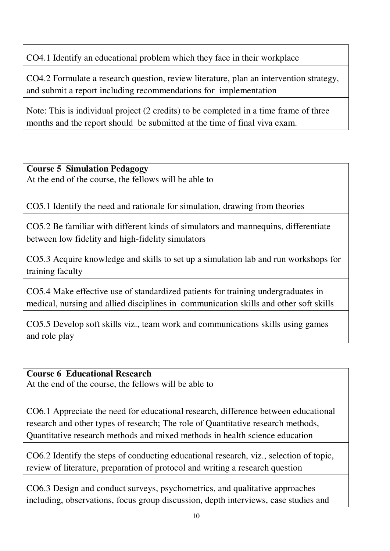CO4.1 Identify an educational problem which they face in their workplace

CO4.2 Formulate a research question, review literature, plan an intervention strategy, and submit a report including recommendations for implementation

Note: This is individual project (2 credits) to be completed in a time frame of three months and the report should be submitted at the time of final viva exam.

### **Course 5 Simulation Pedagogy**

At the end of the course, the fellows will be able to

CO5.1 Identify the need and rationale for simulation, drawing from theories

CO5.2 Be familiar with different kinds of simulators and mannequins, differentiate between low fidelity and high-fidelity simulators

CO5.3 Acquire knowledge and skills to set up a simulation lab and run workshops for training faculty

CO5.4 Make effective use of standardized patients for training undergraduates in medical, nursing and allied disciplines in communication skills and other soft skills

CO5.5 Develop soft skills viz., team work and communications skills using games and role play

### **Course 6 Educational Research**

At the end of the course, the fellows will be able to

CO6.1 Appreciate the need for educational research, difference between educational research and other types of research; The role of Quantitative research methods, Quantitative research methods and mixed methods in health science education

CO6.2 Identify the steps of conducting educational research, viz., selection of topic, review of literature, preparation of protocol and writing a research question

CO6.3 Design and conduct surveys, psychometrics, and qualitative approaches including, observations, focus group discussion, depth interviews, case studies and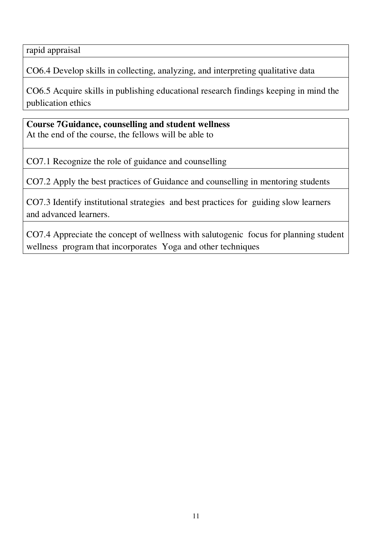rapid appraisal

CO6.4 Develop skills in collecting, analyzing, and interpreting qualitative data

CO6.5 Acquire skills in publishing educational research findings keeping in mind the publication ethics

**Course 7Guidance, counselling and student wellness**  At the end of the course, the fellows will be able to

CO7.1 Recognize the role of guidance and counselling

CO7.2 Apply the best practices of Guidance and counselling in mentoring students

CO7.3 Identify institutional strategies and best practices for guiding slow learners and advanced learners.

CO7.4 Appreciate the concept of wellness with salutogenic focus for planning student wellness program that incorporates Yoga and other techniques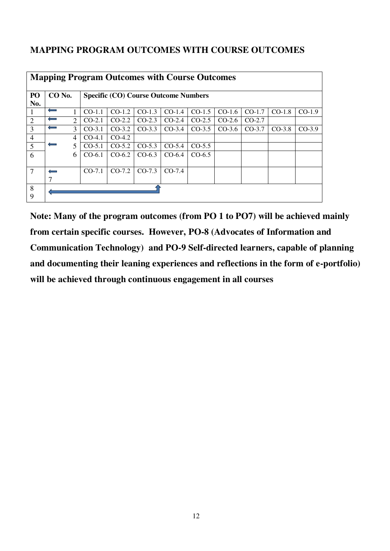# **MAPPING PROGRAM OUTCOMES WITH COURSE OUTCOMES**

| <b>Mapping Program Outcomes with Course Outcomes</b> |              |   |                                             |          |          |          |          |          |          |          |          |
|------------------------------------------------------|--------------|---|---------------------------------------------|----------|----------|----------|----------|----------|----------|----------|----------|
|                                                      |              |   |                                             |          |          |          |          |          |          |          |          |
| PO                                                   | CO No.       |   | <b>Specific (CO) Course Outcome Numbers</b> |          |          |          |          |          |          |          |          |
| No.                                                  |              |   |                                             |          |          |          |          |          |          |          |          |
|                                                      | $\leftarrow$ |   | $CO-1.1$                                    | $CO-1.2$ | $CO-1.3$ | $CO-1.4$ | $CO-1.5$ | $CO-1.6$ | $CO-1.7$ | $CO-1.8$ | $CO-1.9$ |
| $\overline{2}$                                       | ⇔            | 2 | $CO-2.1$                                    | $CO-2.2$ | $CO-2.3$ | $CO-2.4$ | $CO-2.5$ | $CO-2.6$ | $CO-2.7$ |          |          |
| 3                                                    | $\leftarrow$ | 3 | $CO-3.1$                                    | $CO-3.2$ | $CO-3.3$ | $CO-3.4$ | $CO-3.5$ | $CO-3.6$ | $CO-3.7$ | $CO-3.8$ | $CO-3.9$ |
| $\overline{4}$                                       |              | 4 | $CO-4.1$                                    | $CO-4.2$ |          |          |          |          |          |          |          |
| 5                                                    | $\leftarrow$ | 5 | $CO-5.1$                                    | $CO-5.2$ | $CO-5.3$ | $CO-5.4$ | $CO-5.5$ |          |          |          |          |
| 6                                                    |              | 6 | $CO-6.1$                                    | $CO-6.2$ | $CO-6.3$ | $CO-6.4$ | $CO-6.5$ |          |          |          |          |
|                                                      |              |   |                                             |          |          |          |          |          |          |          |          |
| $\overline{7}$                                       |              |   | $CO-7.1$                                    | $CO-7.2$ | $CO-7.3$ | $CO-7.4$ |          |          |          |          |          |
|                                                      |              |   |                                             |          |          |          |          |          |          |          |          |
| 8                                                    |              |   |                                             |          |          |          |          |          |          |          |          |
| 9                                                    |              |   |                                             |          |          |          |          |          |          |          |          |

**Note: Many of the program outcomes (from PO 1 to PO7) will be achieved mainly from certain specific courses. However, PO-8 (Advocates of Information and Communication Technology) and PO-9 Self-directed learners, capable of planning and documenting their leaning experiences and reflections in the form of e-portfolio) will be achieved through continuous engagement in all courses**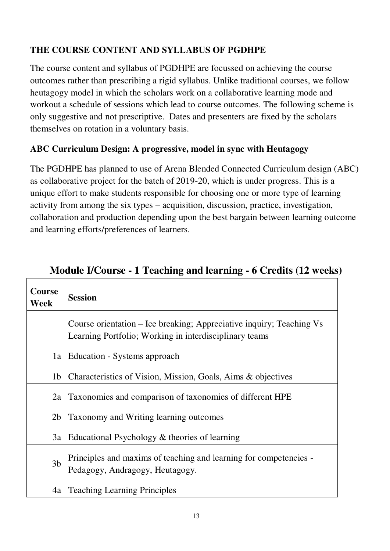# **THE COURSE CONTENT AND SYLLABUS OF PGDHPE**

The course content and syllabus of PGDHPE are focussed on achieving the course outcomes rather than prescribing a rigid syllabus. Unlike traditional courses, we follow heutagogy model in which the scholars work on a collaborative learning mode and workout a schedule of sessions which lead to course outcomes. The following scheme is only suggestive and not prescriptive. Dates and presenters are fixed by the scholars themselves on rotation in a voluntary basis.

# **ABC Curriculum Design: A progressive, model in sync with Heutagogy**

The PGDHPE has planned to use of Arena Blended Connected Curriculum design (ABC) as collaborative project for the batch of 2019-20, which is under progress. This is a unique effort to make students responsible for choosing one or more type of learning activity from among the six types – acquisition, discussion, practice, investigation, collaboration and production depending upon the best bargain between learning outcome and learning efforts/preferences of learners.

| Course<br><b>Week</b> | <b>Session</b>                                                                                                                 |
|-----------------------|--------------------------------------------------------------------------------------------------------------------------------|
|                       | Course orientation – Ice breaking; Appreciative inquiry; Teaching Vs<br>Learning Portfolio; Working in interdisciplinary teams |
| 1a                    | Education - Systems approach                                                                                                   |
| 1 <sub>b</sub>        | Characteristics of Vision, Mission, Goals, Aims & objectives                                                                   |
| 2a                    | Taxonomies and comparison of taxonomies of different HPE                                                                       |
| 2 <sub>b</sub>        | Taxonomy and Writing learning outcomes                                                                                         |
| 3a                    | Educational Psychology & theories of learning                                                                                  |
| 3 <sub>b</sub>        | Principles and maxims of teaching and learning for competencies -<br>Pedagogy, Andragogy, Heutagogy.                           |
| 4a                    | <b>Teaching Learning Principles</b>                                                                                            |

# **Module I/Course - 1 Teaching and learning - 6 Credits (12 weeks)**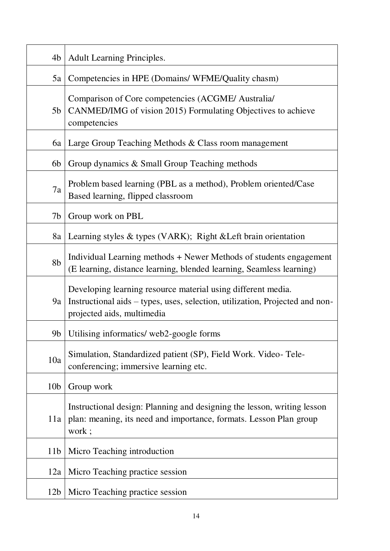| 4b              | <b>Adult Learning Principles.</b>                                                                                                                                          |
|-----------------|----------------------------------------------------------------------------------------------------------------------------------------------------------------------------|
| 5a              | Competencies in HPE (Domains/WFME/Quality chasm)                                                                                                                           |
| 5 <sub>b</sub>  | Comparison of Core competencies (ACGME/ Australia/<br>CANMED/IMG of vision 2015) Formulating Objectives to achieve<br>competencies                                         |
| 6a              | Large Group Teaching Methods & Class room management                                                                                                                       |
| 6b              | Group dynamics & Small Group Teaching methods                                                                                                                              |
| 7a              | Problem based learning (PBL as a method), Problem oriented/Case<br>Based learning, flipped classroom                                                                       |
| 7 <sub>b</sub>  | Group work on PBL                                                                                                                                                          |
| 8a              | Learning styles & types (VARK); Right & Left brain orientation                                                                                                             |
| 8 <sub>b</sub>  | Individual Learning methods + Newer Methods of students engagement<br>(E learning, distance learning, blended learning, Seamless learning)                                 |
| 9a              | Developing learning resource material using different media.<br>Instructional aids – types, uses, selection, utilization, Projected and non-<br>projected aids, multimedia |
| 9b              | Utilising informatics/ web2-google forms                                                                                                                                   |
| 10a             | Simulation, Standardized patient (SP), Field Work. Video-Tele-<br>conferencing; immersive learning etc.                                                                    |
| 10 <sub>b</sub> | Group work                                                                                                                                                                 |
| 11a             | Instructional design: Planning and designing the lesson, writing lesson<br>plan: meaning, its need and importance, formats. Lesson Plan group<br>work;                     |
| 11 <sub>b</sub> | Micro Teaching introduction                                                                                                                                                |
| 12a             | Micro Teaching practice session                                                                                                                                            |
| 12 <sub>b</sub> | Micro Teaching practice session                                                                                                                                            |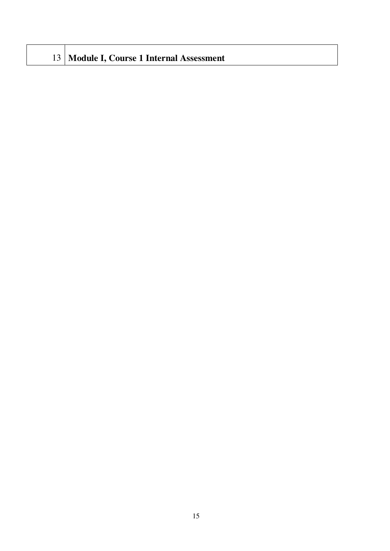|  |  | 13 Module I, Course 1 Internal Assessment |
|--|--|-------------------------------------------|
|--|--|-------------------------------------------|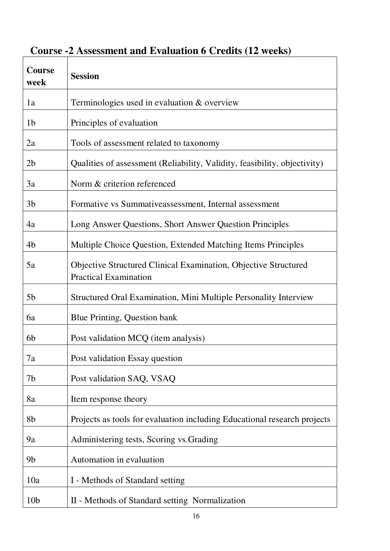| <b>Course</b><br>week | <b>Session</b>                                                                                  |
|-----------------------|-------------------------------------------------------------------------------------------------|
| 1a                    | Terminologies used in evaluation $&$ overview                                                   |
| 1 <sub>b</sub>        | Principles of evaluation                                                                        |
| 2a                    | Tools of assessment related to taxonomy                                                         |
| 2 <sub>b</sub>        | Qualities of assessment (Reliability, Validity, feasibility, objectivity)                       |
| 3a                    | Norm & criterion referenced                                                                     |
| 3 <sub>b</sub>        | Formative vs Summativeassessment, Internal assessment                                           |
| 4a                    | Long Answer Questions, Short Answer Question Principles                                         |
| 4b                    | Multiple Choice Question, Extended Matching Items Principles                                    |
| 5a                    | Objective Structured Clinical Examination, Objective Structured<br><b>Practical Examination</b> |
| 5 <sub>b</sub>        | Structured Oral Examination, Mini Multiple Personality Interview                                |
| 6a                    | Blue Printing, Question bank                                                                    |
| 6b                    | Post validation MCQ (item analysis)                                                             |
| 7a                    | Post validation Essay question                                                                  |
| 7b                    | Post validation SAQ, VSAQ                                                                       |
| 8a                    | Item response theory                                                                            |
| 8b                    | Projects as tools for evaluation including Educational research projects                        |
| 9a                    | Administering tests, Scoring vs. Grading                                                        |
| 9 <sub>b</sub>        | Automation in evaluation                                                                        |
| 10a                   | I - Methods of Standard setting                                                                 |
| 10 <sub>b</sub>       | II - Methods of Standard setting Normalization                                                  |

# **Course -2 Assessment and Evaluation 6 Credits (12 weeks)**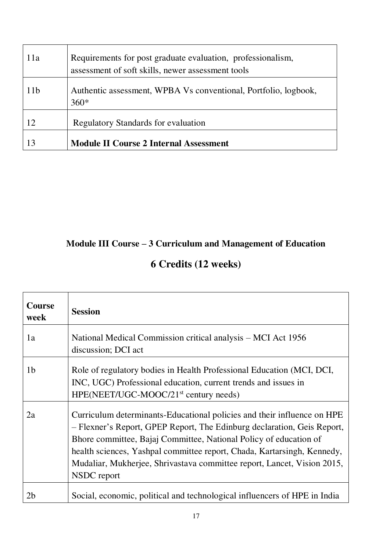| 11a             | Requirements for post graduate evaluation, professionalism,<br>assessment of soft skills, newer assessment tools |
|-----------------|------------------------------------------------------------------------------------------------------------------|
| 11 <sub>b</sub> | Authentic assessment, WPBA Vs conventional, Portfolio, logbook,<br>$360*$                                        |
| 12              | <b>Regulatory Standards for evaluation</b>                                                                       |
|                 | <b>Module II Course 2 Internal Assessment</b>                                                                    |

# **Module III Course – 3 Curriculum and Management of Education**

# **6 Credits (12 weeks)**

| <b>Course</b><br>week | <b>Session</b>                                                                                                                                                                                                                                                                                                                                                                               |
|-----------------------|----------------------------------------------------------------------------------------------------------------------------------------------------------------------------------------------------------------------------------------------------------------------------------------------------------------------------------------------------------------------------------------------|
| 1a                    | National Medical Commission critical analysis – MCI Act 1956<br>discussion; DCI act                                                                                                                                                                                                                                                                                                          |
| 1 <sub>b</sub>        | Role of regulatory bodies in Health Professional Education (MCI, DCI,<br>INC, UGC) Professional education, current trends and issues in<br>HPE(NEET/UGC-MOOC/21 <sup>st</sup> century needs)                                                                                                                                                                                                 |
| 2a                    | Curriculum determinants-Educational policies and their influence on HPE<br>- Flexner's Report, GPEP Report, The Edinburg declaration, Geis Report,<br>Bhore committee, Bajaj Committee, National Policy of education of<br>health sciences, Yashpal committee report, Chada, Kartarsingh, Kennedy,<br>Mudaliar, Mukherjee, Shrivastava committee report, Lancet, Vision 2015,<br>NSDC report |
| 2b                    | Social, economic, political and technological influencers of HPE in India                                                                                                                                                                                                                                                                                                                    |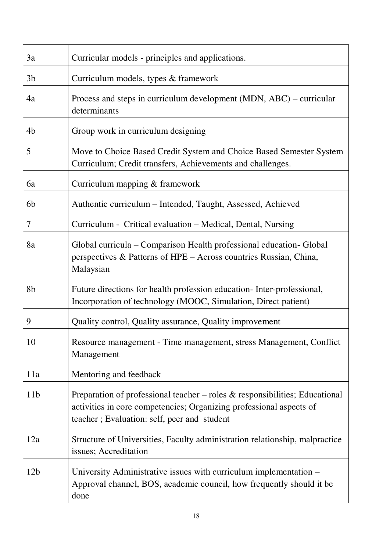| 3a              | Curricular models - principles and applications.                                                                                                                                                     |
|-----------------|------------------------------------------------------------------------------------------------------------------------------------------------------------------------------------------------------|
| 3 <sub>b</sub>  | Curriculum models, types & framework                                                                                                                                                                 |
| 4a              | Process and steps in curriculum development (MDN, ABC) – curricular<br>determinants                                                                                                                  |
| 4b              | Group work in curriculum designing                                                                                                                                                                   |
| 5               | Move to Choice Based Credit System and Choice Based Semester System<br>Curriculum; Credit transfers, Achievements and challenges.                                                                    |
| 6a              | Curriculum mapping & framework                                                                                                                                                                       |
| 6b              | Authentic curriculum - Intended, Taught, Assessed, Achieved                                                                                                                                          |
| 7               | Curriculum - Critical evaluation – Medical, Dental, Nursing                                                                                                                                          |
| 8a              | Global curricula – Comparison Health professional education- Global<br>perspectives & Patterns of HPE – Across countries Russian, China,<br>Malaysian                                                |
| 8b              | Future directions for health profession education-Inter-professional,<br>Incorporation of technology (MOOC, Simulation, Direct patient)                                                              |
| 9               | Quality control, Quality assurance, Quality improvement                                                                                                                                              |
| 10              | Resource management - Time management, stress Management, Conflict<br>Management                                                                                                                     |
| 11a             | Mentoring and feedback                                                                                                                                                                               |
| 11 <sub>b</sub> | Preparation of professional teacher – roles $\&$ responsibilities; Educational<br>activities in core competencies; Organizing professional aspects of<br>teacher; Evaluation: self, peer and student |
| 12a             | Structure of Universities, Faculty administration relationship, malpractice<br>issues; Accreditation                                                                                                 |
| 12 <sub>b</sub> | University Administrative issues with curriculum implementation –<br>Approval channel, BOS, academic council, how frequently should it be                                                            |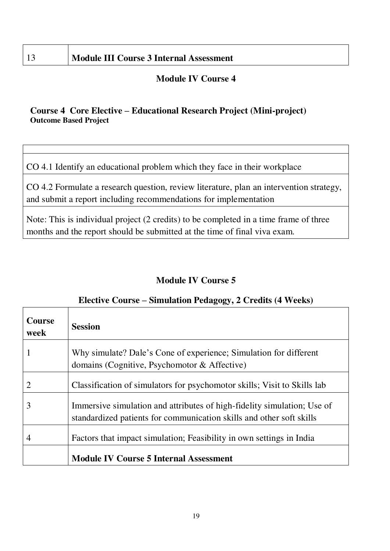# 13 **Module III Course 3 Internal Assessment**

### **Module IV Course 4**

### **Course 4 Core Elective – Educational Research Project (Mini-project) Outcome Based Project**

CO 4.1 Identify an educational problem which they face in their workplace

CO 4.2 Formulate a research question, review literature, plan an intervention strategy, and submit a report including recommendations for implementation

Note: This is individual project (2 credits) to be completed in a time frame of three months and the report should be submitted at the time of final viva exam.

# **Module IV Course 5**

# **Elective Course – Simulation Pedagogy, 2 Credits (4 Weeks) Course week Session**  1 Why simulate? Dale's Cone of experience; Simulation for different domains (Cognitive, Psychomotor & Affective) 2 Classification of simulators for psychomotor skills; Visit to Skills lab 3 Immersive simulation and attributes of high-fidelity simulation; Use of standardized patients for communication skills and other soft skills 4 Factors that impact simulation; Feasibility in own settings in India **Module IV Course 5 Internal Assessment**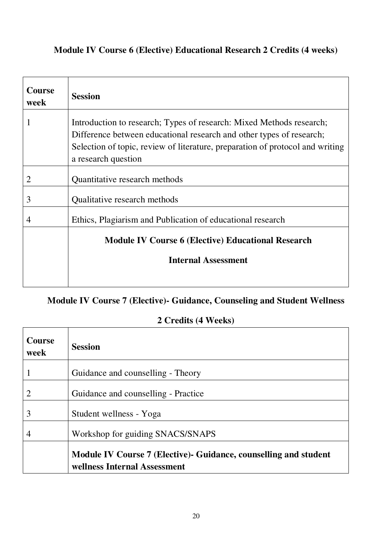# **Module IV Course 6 (Elective) Educational Research 2 Credits (4 weeks)**

| <b>Session</b>                                                                                                                                                                                                                                       |
|------------------------------------------------------------------------------------------------------------------------------------------------------------------------------------------------------------------------------------------------------|
| Introduction to research; Types of research: Mixed Methods research;<br>Difference between educational research and other types of research;<br>Selection of topic, review of literature, preparation of protocol and writing<br>a research question |
| Quantitative research methods                                                                                                                                                                                                                        |
| Qualitative research methods                                                                                                                                                                                                                         |
| Ethics, Plagiarism and Publication of educational research                                                                                                                                                                                           |
| <b>Module IV Course 6 (Elective) Educational Research</b><br><b>Internal Assessment</b>                                                                                                                                                              |
|                                                                                                                                                                                                                                                      |

# **Module IV Course 7 (Elective)- Guidance, Counseling and Student Wellness**

# **2 Credits (4 Weeks)**

 $\overline{\phantom{0}}$ 

| <b>Course</b><br>week | <b>Session</b>                                                                                  |
|-----------------------|-------------------------------------------------------------------------------------------------|
|                       | Guidance and counselling - Theory                                                               |
|                       | Guidance and counselling - Practice                                                             |
| 3                     | Student wellness - Yoga                                                                         |
|                       | Workshop for guiding SNACS/SNAPS                                                                |
|                       | Module IV Course 7 (Elective) Guidance, counselling and student<br>wellness Internal Assessment |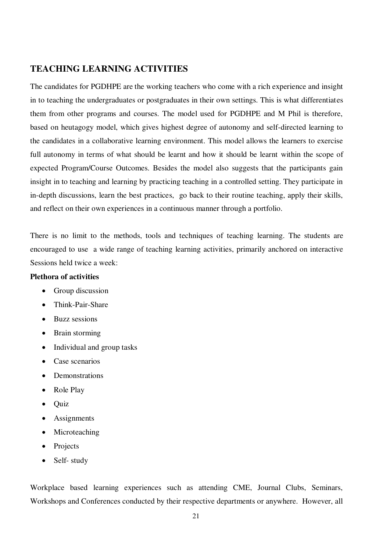### **TEACHING LEARNING ACTIVITIES**

The candidates for PGDHPE are the working teachers who come with a rich experience and insight in to teaching the undergraduates or postgraduates in their own settings. This is what differentiates them from other programs and courses. The model used for PGDHPE and M Phil is therefore, based on heutagogy model, which gives highest degree of autonomy and self-directed learning to the candidates in a collaborative learning environment. This model allows the learners to exercise full autonomy in terms of what should be learnt and how it should be learnt within the scope of expected Program/Course Outcomes. Besides the model also suggests that the participants gain insight in to teaching and learning by practicing teaching in a controlled setting. They participate in in-depth discussions, learn the best practices, go back to their routine teaching, apply their skills, and reflect on their own experiences in a continuous manner through a portfolio.

There is no limit to the methods, tools and techniques of teaching learning. The students are encouraged to use a wide range of teaching learning activities, primarily anchored on interactive Sessions held twice a week:

### **Plethora of activities**

- Group discussion
- Think-Pair-Share
- Buzz sessions
- Brain storming
- Individual and group tasks
- Case scenarios
- **Demonstrations**
- Role Play
- **Ouiz**
- Assignments
- Microteaching
- Projects
- Self- study

Workplace based learning experiences such as attending CME, Journal Clubs, Seminars, Workshops and Conferences conducted by their respective departments or anywhere. However, all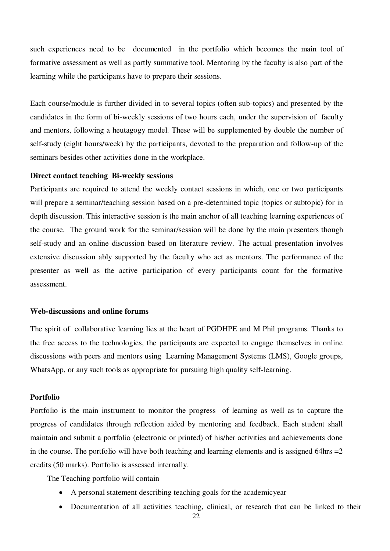such experiences need to be documented in the portfolio which becomes the main tool of formative assessment as well as partly summative tool. Mentoring by the faculty is also part of the learning while the participants have to prepare their sessions.

Each course/module is further divided in to several topics (often sub-topics) and presented by the candidates in the form of bi-weekly sessions of two hours each, under the supervision of faculty and mentors, following a heutagogy model. These will be supplemented by double the number of self-study (eight hours/week) by the participants, devoted to the preparation and follow-up of the seminars besides other activities done in the workplace.

#### **Direct contact teaching Bi-weekly sessions**

Participants are required to attend the weekly contact sessions in which, one or two participants will prepare a seminar/teaching session based on a pre-determined topic (topics or subtopic) for in depth discussion. This interactive session is the main anchor of all teaching learning experiences of the course. The ground work for the seminar/session will be done by the main presenters though self-study and an online discussion based on literature review. The actual presentation involves extensive discussion ably supported by the faculty who act as mentors. The performance of the presenter as well as the active participation of every participants count for the formative assessment.

#### **Web-discussions and online forums**

The spirit of collaborative learning lies at the heart of PGDHPE and M Phil programs. Thanks to the free access to the technologies, the participants are expected to engage themselves in online discussions with peers and mentors using Learning Management Systems (LMS), Google groups, WhatsApp, or any such tools as appropriate for pursuing high quality self-learning.

#### **Portfolio**

Portfolio is the main instrument to monitor the progress of learning as well as to capture the progress of candidates through reflection aided by mentoring and feedback. Each student shall maintain and submit a portfolio (electronic or printed) of his/her activities and achievements done in the course. The portfolio will have both teaching and learning elements and is assigned 64hrs  $=$  2 credits (50 marks). Portfolio is assessed internally.

The Teaching portfolio will contain

- A personal statement describing teaching goals for the academicyear
- Documentation of all activities teaching, clinical, or research that can be linked to their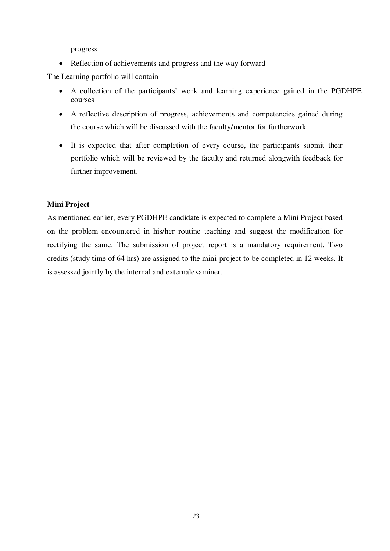progress

• Reflection of achievements and progress and the way forward

The Learning portfolio will contain

- A collection of the participants' work and learning experience gained in the PGDHPE courses
- A reflective description of progress, achievements and competencies gained during the course which will be discussed with the faculty/mentor for furtherwork.
- It is expected that after completion of every course, the participants submit their portfolio which will be reviewed by the faculty and returned alongwith feedback for further improvement.

### **Mini Project**

As mentioned earlier, every PGDHPE candidate is expected to complete a Mini Project based on the problem encountered in his/her routine teaching and suggest the modification for rectifying the same. The submission of project report is a mandatory requirement. Two credits (study time of 64 hrs) are assigned to the mini-project to be completed in 12 weeks. It is assessed jointly by the internal and externalexaminer.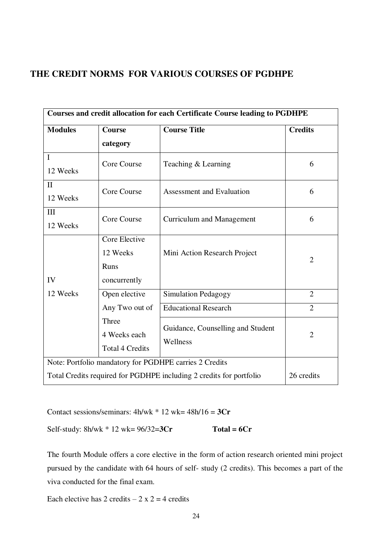### **THE CREDIT NORMS FOR VARIOUS COURSES OF PGDHPE**

| Courses and credit allocation for each Certificate Course leading to PGDHPE       |                                                   |                                               |                |  |  |  |
|-----------------------------------------------------------------------------------|---------------------------------------------------|-----------------------------------------------|----------------|--|--|--|
| <b>Modules</b>                                                                    | <b>Course Title</b><br><b>Course</b>              |                                               |                |  |  |  |
|                                                                                   | category                                          |                                               |                |  |  |  |
| $\mathbf I$<br>12 Weeks                                                           | Core Course                                       | Teaching & Learning                           | 6              |  |  |  |
| $\mathbf{I}$<br>12 Weeks                                                          | Core Course                                       | Assessment and Evaluation                     | 6              |  |  |  |
| III<br>12 Weeks                                                                   | Core Course                                       | <b>Curriculum and Management</b>              | 6              |  |  |  |
| IV                                                                                | Core Elective<br>12 Weeks<br>Runs<br>concurrently | Mini Action Research Project                  | $\overline{2}$ |  |  |  |
| 12 Weeks                                                                          | Open elective                                     | <b>Simulation Pedagogy</b>                    | $\overline{2}$ |  |  |  |
|                                                                                   | Any Two out of                                    | <b>Educational Research</b>                   | $\overline{2}$ |  |  |  |
|                                                                                   | Three<br>4 Weeks each<br><b>Total 4 Credits</b>   | Guidance, Counselling and Student<br>Wellness | $\overline{2}$ |  |  |  |
| Note: Portfolio mandatory for PGDHPE carries 2 Credits                            |                                                   |                                               |                |  |  |  |
| 26 credits<br>Total Credits required for PGDHPE including 2 credits for portfolio |                                                   |                                               |                |  |  |  |

Contact sessions/seminars: 4h/wk \* 12 wk= 48h/16 = **3Cr** 

Self-study: 8h/wk \* 12 wk= 96/32=**3Cr Total = 6Cr** 

The fourth Module offers a core elective in the form of action research oriented mini project pursued by the candidate with 64 hours of self- study (2 credits). This becomes a part of the viva conducted for the final exam.

Each elective has 2 credits  $-2 \times 2 = 4$  credits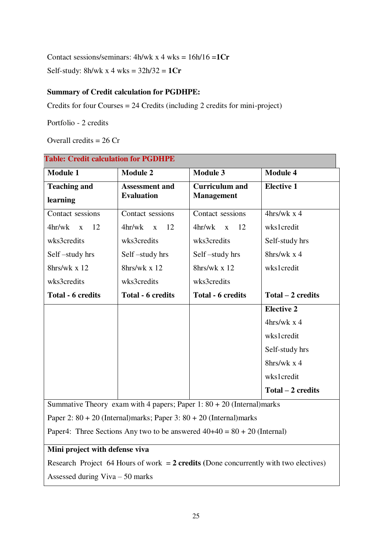Contact sessions/seminars: 4h/wk x 4 wks = 16h/16 =**1Cr** 

Self-study: 8h/wk x 4 wks = 32h/32 = **1Cr** 

**Table: Credit calculation for PGDHPE**

### **Summary of Credit calculation for PGDHPE:**

Credits for four Courses = 24 Credits (including 2 credits for mini-project)

Portfolio - 2 credits

Overall credits = 26 Cr

| <b>Module 1</b>                                                                        | <b>Module 2</b>              | <b>Module 3</b>              | <b>Module 4</b>     |  |  |
|----------------------------------------------------------------------------------------|------------------------------|------------------------------|---------------------|--|--|
| <b>Teaching and</b>                                                                    | <b>Assessment and</b>        | <b>Curriculum</b> and        | <b>Elective 1</b>   |  |  |
| learning                                                                               | <b>Evaluation</b>            | <b>Management</b>            |                     |  |  |
| Contact sessions                                                                       | Contact sessions             | Contact sessions             | $4$ hrs/wk x 4      |  |  |
| 4hr/wk<br>12<br>$\mathbf{X}$                                                           | 4hr/wk<br>12<br>$\mathbf{X}$ | 4hr/wk<br>12<br>$\mathbf{X}$ | wks1credit          |  |  |
| wks3credits                                                                            | wks3credits                  | wks3credits                  | Self-study hrs      |  |  |
| Self-study hrs                                                                         | Self-study hrs               | Self-study hrs               | 8hrs/wk $x$ 4       |  |  |
| 8hrs/wk x 12                                                                           | 8hrs/wk x 12                 | 8hrs/wk x 12                 | wks1credit          |  |  |
| wks3credits                                                                            | wks3credits                  | wks3credits                  |                     |  |  |
| <b>Total - 6 credits</b>                                                               | <b>Total - 6 credits</b>     | <b>Total - 6 credits</b>     | $Total - 2 credits$ |  |  |
|                                                                                        |                              |                              | <b>Elective 2</b>   |  |  |
|                                                                                        |                              |                              | $4$ hrs/wk x 4      |  |  |
|                                                                                        |                              |                              | wks1credit          |  |  |
|                                                                                        |                              |                              | Self-study hrs      |  |  |
|                                                                                        |                              |                              | 8hrs/wk $x$ 4       |  |  |
|                                                                                        |                              |                              | wks1credit          |  |  |
|                                                                                        |                              |                              | Total - 2 credits   |  |  |
| Summative Theory exam with 4 papers; Paper 1: $80 + 20$ (Internal)marks                |                              |                              |                     |  |  |
| Paper 2: $80 + 20$ (Internal)marks; Paper 3: $80 + 20$ (Internal)marks                 |                              |                              |                     |  |  |
| Paper4: Three Sections Any two to be answered $40+40 = 80 + 20$ (Internal)             |                              |                              |                     |  |  |
| Mini project with defense viva                                                         |                              |                              |                     |  |  |
| Research Project 64 Hours of work $= 2$ credits (Done concurrently with two electives) |                              |                              |                     |  |  |
| Assessed during $Viva - 50$ marks                                                      |                              |                              |                     |  |  |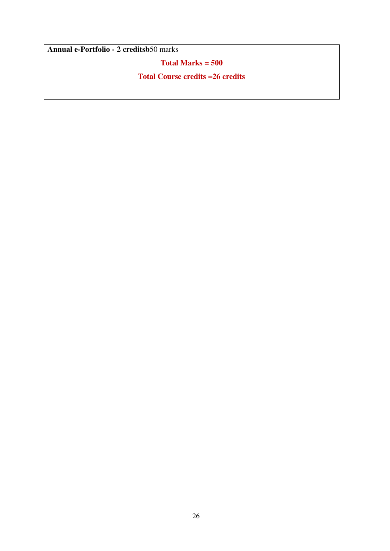**Annual e-Portfolio - 2 creditsb**50 marks

**Total Marks = 500**

**Total Course credits =26 credits**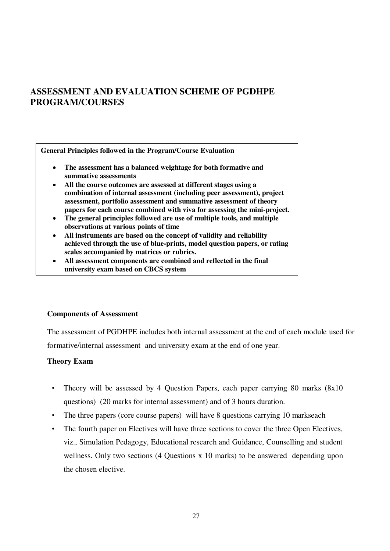# **ASSESSMENT AND EVALUATION SCHEME OF PGDHPE PROGRAM/COURSES**

**General Principles followed in the Program/Course Evaluation** 

- **The assessment has a balanced weightage for both formative and summative assessments**
- **All the course outcomes are assessed at different stages using a combination of internal assessment (including peer assessment), project assessment, portfolio assessment and summative assessment of theory papers for each course combined with viva for assessing the mini-project.**
- **The general principles followed are use of multiple tools, and multiple observations at various points of time**
- **All instruments are based on the concept of validity and reliability achieved through the use of blue-prints, model question papers, or rating scales accompanied by matrices or rubrics.**
- **All assessment components are combined and reflected in the final university exam based on CBCS system**

### **Components of Assessment**

The assessment of PGDHPE includes both internal assessment at the end of each module used for formative/internal assessment and university exam at the end of one year.

### **Theory Exam**

- Theory will be assessed by 4 Question Papers, each paper carrying 80 marks (8x10) questions) (20 marks for internal assessment) and of 3 hours duration.
- The three papers (core course papers) will have 8 questions carrying 10 markseach
- The fourth paper on Electives will have three sections to cover the three Open Electives, viz., Simulation Pedagogy, Educational research and Guidance, Counselling and student wellness. Only two sections (4 Questions x 10 marks) to be answered depending upon the chosen elective.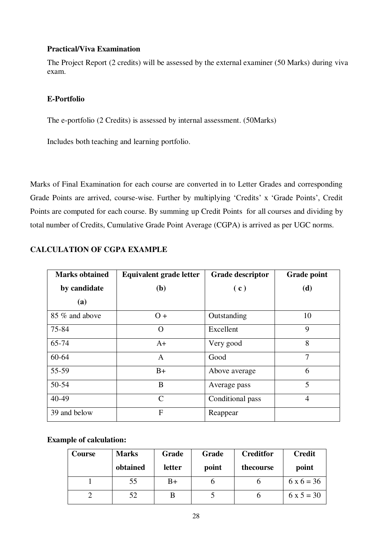### **Practical/Viva Examination**

The Project Report (2 credits) will be assessed by the external examiner (50 Marks) during viva exam.

### **E-Portfolio**

The e-portfolio (2 Credits) is assessed by internal assessment. (50Marks)

Includes both teaching and learning portfolio.

Marks of Final Examination for each course are converted in to Letter Grades and corresponding Grade Points are arrived, course-wise. Further by multiplying 'Credits' x 'Grade Points', Credit Points are computed for each course. By summing up Credit Points for all courses and dividing by total number of Credits, Cumulative Grade Point Average (CGPA) is arrived as per UGC norms.

| <b>Marks obtained</b> | <b>Equivalent grade letter</b> | <b>Grade descriptor</b> | <b>Grade point</b> |  |
|-----------------------|--------------------------------|-------------------------|--------------------|--|
| by candidate          | (b)                            | (c)                     | (d)                |  |
| (a)                   |                                |                         |                    |  |
| 85 % and above        | $O +$                          | Outstanding             | 10                 |  |
| 75-84                 | $\Omega$                       | Excellent               | 9                  |  |
| 65-74                 | $A+$                           | Very good               | 8                  |  |
| 60-64                 | A                              | Good                    | $\overline{7}$     |  |
| 55-59                 | $B+$                           | Above average           | 6                  |  |
| 50-54                 | B                              | Average pass            | 5                  |  |
| 40-49                 | $\mathcal{C}$                  | Conditional pass        | $\overline{4}$     |  |
| 39 and below          | $\mathbf{F}$                   | Reappear                |                    |  |

### **CALCULATION OF CGPA EXAMPLE**

### **Example of calculation:**

| Course | <b>Marks</b> | Grade  | Grade | <b>Creditfor</b> | <b>Credit</b> |
|--------|--------------|--------|-------|------------------|---------------|
|        | obtained     | letter | point | thecourse        | point         |
|        | 55           | B+     |       |                  | $6x6 = 36$    |
|        | 52           | В      |       |                  | $6x 5 = 30$   |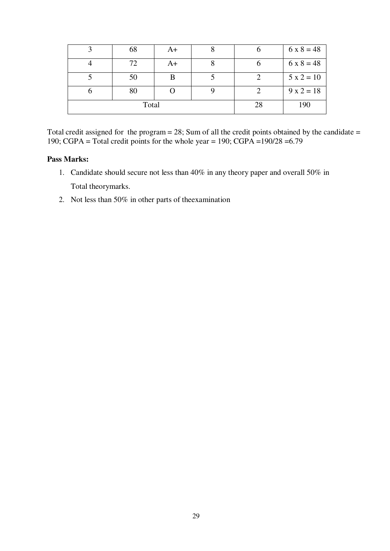|       | 68 | A+ |    |     | $6 \times 8 = 48$ |
|-------|----|----|----|-----|-------------------|
|       | 77 | A+ |    |     | $6 \times 8 = 48$ |
|       | 50 |    |    |     | $5 x 2 = 10$      |
| υ     | 80 |    |    |     | $9x2 = 18$        |
| Total |    |    | 28 | 190 |                   |

Total credit assigned for the program  $= 28$ ; Sum of all the credit points obtained by the candidate  $=$ 190; CGPA = Total credit points for the whole year = 190; CGPA =  $190/28 = 6.79$ 

#### **Pass Marks:**

- 1. Candidate should secure not less than 40% in any theory paper and overall 50% in Total theorymarks.
- 2. Not less than 50% in other parts of theexamination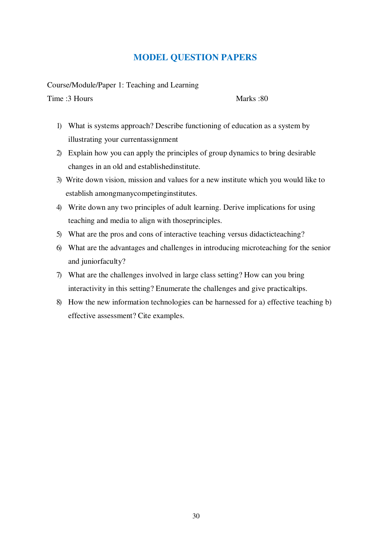### **MODEL QUESTION PAPERS**

Course/Module/Paper 1: Teaching and Learning

Time :3 Hours Marks :80

- 1) What is systems approach? Describe functioning of education as a system by illustrating your currentassignment
- 2) Explain how you can apply the principles of group dynamics to bring desirable changes in an old and establishedinstitute.
- 3) Write down vision, mission and values for a new institute which you would like to establish amongmanycompetinginstitutes.
- 4) Write down any two principles of adult learning. Derive implications for using teaching and media to align with thoseprinciples.
- 5) What are the pros and cons of interactive teaching versus didacticteaching?
- 6) What are the advantages and challenges in introducing microteaching for the senior and juniorfaculty?
- 7) What are the challenges involved in large class setting? How can you bring interactivity in this setting? Enumerate the challenges and give practicaltips.
- 8) How the new information technologies can be harnessed for a) effective teaching b) effective assessment? Cite examples.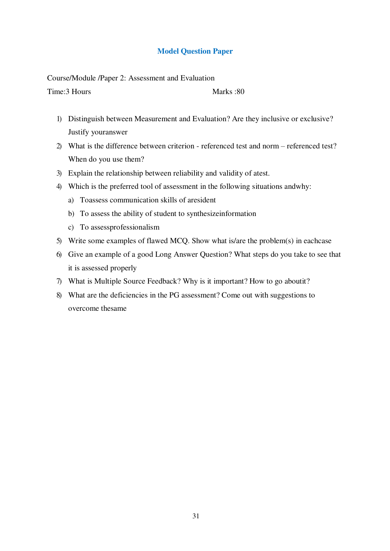### **Model Question Paper**

Course/Module /Paper 2: Assessment and Evaluation

Time: 3 Hours Marks : 80

- 1) Distinguish between Measurement and Evaluation? Are they inclusive or exclusive? Justify youranswer
- 2) What is the difference between criterion referenced test and norm referenced test? When do you use them?
- 3) Explain the relationship between reliability and validity of atest.
- 4) Which is the preferred tool of assessment in the following situations andwhy:
	- a) Toassess communication skills of aresident
	- b) To assess the ability of student to synthesizeinformation
	- c) To assessprofessionalism
- 5) Write some examples of flawed MCQ. Show what is/are the problem(s) in eachcase
- 6) Give an example of a good Long Answer Question? What steps do you take to see that it is assessed properly
- 7) What is Multiple Source Feedback? Why is it important? How to go aboutit?
- 8) What are the deficiencies in the PG assessment? Come out with suggestions to overcome thesame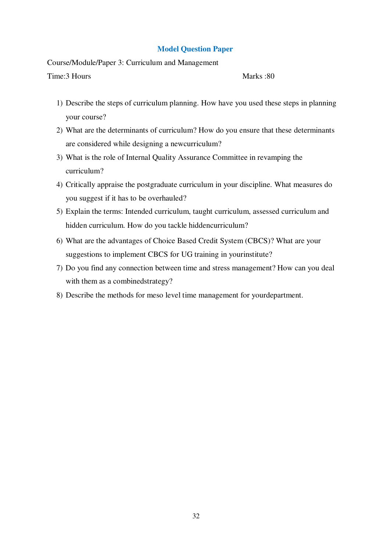### **Model Question Paper**

Course/Module/Paper 3: Curriculum and Management

Time: 3 Hours Marks : 80

- 1) Describe the steps of curriculum planning. How have you used these steps in planning your course?
- 2) What are the determinants of curriculum? How do you ensure that these determinants are considered while designing a newcurriculum?
- 3) What is the role of Internal Quality Assurance Committee in revamping the curriculum?
- 4) Critically appraise the postgraduate curriculum in your discipline. What measures do you suggest if it has to be overhauled?
- 5) Explain the terms: Intended curriculum, taught curriculum, assessed curriculum and hidden curriculum. How do you tackle hiddencurriculum?
- 6) What are the advantages of Choice Based Credit System (CBCS)? What are your suggestions to implement CBCS for UG training in yourinstitute?
- 7) Do you find any connection between time and stress management? How can you deal with them as a combinedstrategy?
- 8) Describe the methods for meso level time management for yourdepartment.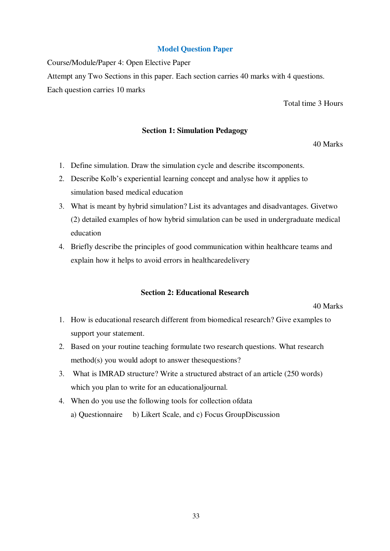### **Model Question Paper**

Course/Module/Paper 4: Open Elective Paper Attempt any Two Sections in this paper. Each section carries 40 marks with 4 questions. Each question carries 10 marks

Total time 3 Hours

#### **Section 1: Simulation Pedagogy**

40 Marks

- 1. Define simulation. Draw the simulation cycle and describe itscomponents.
- 2. Describe Kolb's experiential learning concept and analyse how it applies to simulation based medical education
- 3. What is meant by hybrid simulation? List its advantages and disadvantages. Givetwo (2) detailed examples of how hybrid simulation can be used in undergraduate medical education
- 4. Briefly describe the principles of good communication within healthcare teams and explain how it helps to avoid errors in healthcaredelivery

### **Section 2: Educational Research**

40 Marks

- 1. How is educational research different from biomedical research? Give examples to support your statement.
- 2. Based on your routine teaching formulate two research questions. What research method(s) you would adopt to answer thesequestions?
- 3. What is IMRAD structure? Write a structured abstract of an article (250 words) which you plan to write for an educationaljournal.
- 4. When do you use the following tools for collection ofdata a) Questionnaire b) Likert Scale, and c) Focus GroupDiscussion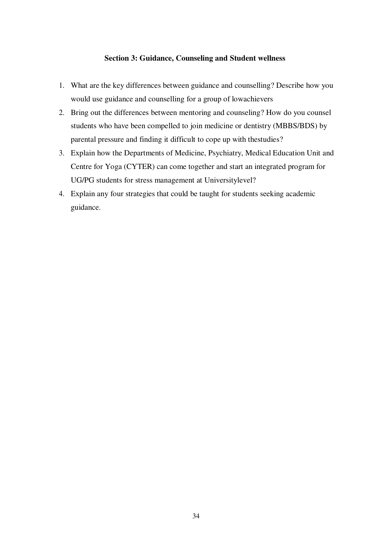### **Section 3: Guidance, Counseling and Student wellness**

- 1. What are the key differences between guidance and counselling? Describe how you would use guidance and counselling for a group of lowachievers
- 2. Bring out the differences between mentoring and counseling? How do you counsel students who have been compelled to join medicine or dentistry (MBBS/BDS) by parental pressure and finding it difficult to cope up with thestudies?
- 3. Explain how the Departments of Medicine, Psychiatry, Medical Education Unit and Centre for Yoga (CYTER) can come together and start an integrated program for UG/PG students for stress management at Universitylevel?
- 4. Explain any four strategies that could be taught for students seeking academic guidance.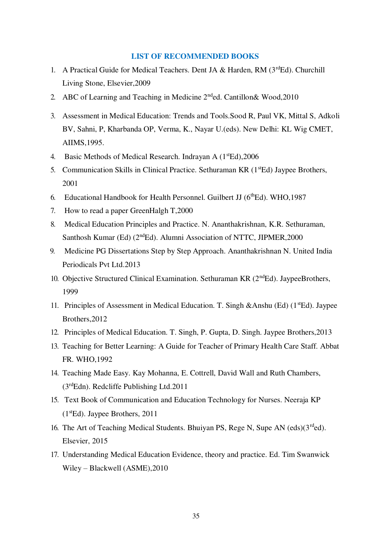#### **LIST OF RECOMMENDED BOOKS**

- 1. A Practical Guide for Medical Teachers. Dent JA & Harden, RM ( $3<sup>rd</sup>Ed$ ). Churchill Living Stone, Elsevier,2009
- 2. ABC of Learning and Teaching in Medicine  $2<sup>nd</sup>$ ed. Cantillon & Wood, 2010
- 3. Assessment in Medical Education: Trends and Tools.Sood R, Paul VK, Mittal S, Adkoli BV, Sahni, P, Kharbanda OP, Verma, K., Nayar U.(eds). New Delhi: KL Wig CMET, AIIMS,1995.
- 4. Basic Methods of Medical Research. Indrayan A (1<sup>st</sup>Ed), 2006
- 5. Communication Skills in Clinical Practice. Sethuraman KR (1<sup>st</sup>Ed) Jaypee Brothers, 2001
- 6. Educational Handbook for Health Personnel. Guilbert JJ  $(6^{th}Ed)$ . WHO, 1987
- 7. How to read a paper GreenHalgh T,2000
- 8. Medical Education Principles and Practice. N. Ananthakrishnan, K.R. Sethuraman, Santhosh Kumar (Ed) (2<sup>nd</sup>Ed). Alumni Association of NTTC, JIPMER, 2000
- 9. Medicine PG Dissertations Step by Step Approach. Ananthakrishnan N. United India Periodicals Pvt Ltd.2013
- 10. Objective Structured Clinical Examination. Sethuraman KR  $(2<sup>nd</sup>Ed)$ . JaypeeBrothers, 1999
- 11. Principles of Assessment in Medical Education. T. Singh &Anshu (Ed)  $(1<sup>st</sup>Ed)$ . Jaypee Brothers,2012
- 12. Principles of Medical Education. T. Singh, P. Gupta, D. Singh. Jaypee Brothers,2013
- 13. Teaching for Better Learning: A Guide for Teacher of Primary Health Care Staff. Abbat FR. WHO,1992
- 14. Teaching Made Easy. Kay Mohanna, E. Cottrell, David Wall and Ruth Chambers, (3rdEdn). Redcliffe Publishing Ltd.2011
- 15. Text Book of Communication and Education Technology for Nurses. Neeraja KP (1stEd). Jaypee Brothers, 2011
- 16. The Art of Teaching Medical Students. Bhuiyan PS, Rege N, Supe AN (eds)( $3^{rd}$ ed). Elsevier, 2015
- 17. Understanding Medical Education Evidence, theory and practice. Ed. Tim Swanwick Wiley – Blackwell (ASME),2010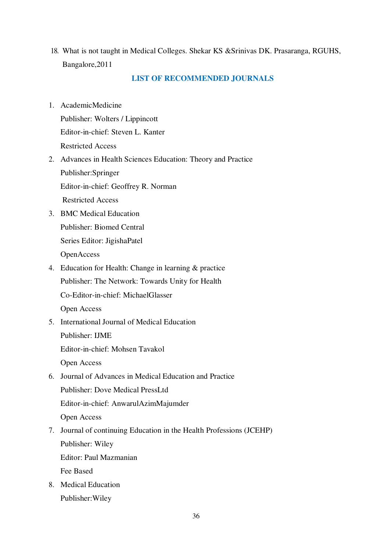18. What is not taught in Medical Colleges. Shekar KS &Srinivas DK. Prasaranga, RGUHS, Bangalore,2011

### **LIST OF RECOMMENDED JOURNALS**

- 1. AcademicMedicine Publisher: Wolters / Lippincott Editor-in-chief: Steven L. Kanter Restricted Access
- 2. Advances in Health Sciences Education: Theory and Practice Publisher:Springer Editor-in-chief: Geoffrey R. Norman Restricted Access
- 3. BMC Medical Education Publisher: Biomed Central Series Editor: JigishaPatel OpenAccess
- 4. Education for Health: Change in learning & practice Publisher: The Network: Towards Unity for Health Co-Editor-in-chief: MichaelGlasser Open Access
- 5. International Journal of Medical Education Publisher: IJME Editor-in-chief: Mohsen Tavakol

Open Access

6. Journal of Advances in Medical Education and Practice Publisher: Dove Medical PressLtd Editor-in-chief: AnwarulAzimMajumder

Open Access

- 7. Journal of continuing Education in the Health Professions (JCEHP) Publisher: Wiley Editor: Paul Mazmanian Fee Based
- 8. Medical Education Publisher:Wiley